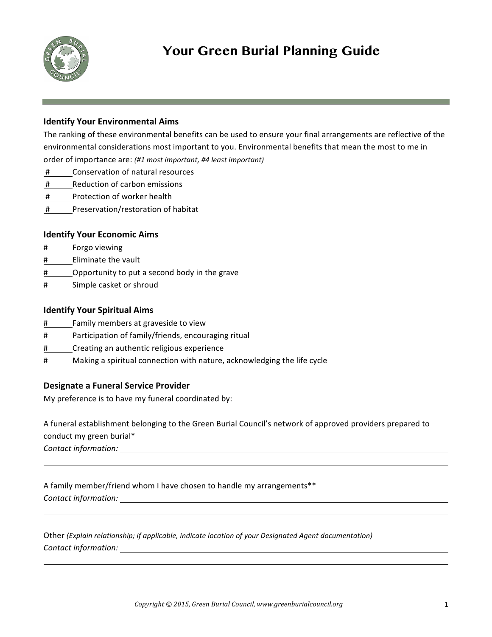

# **Your Green Burial Planning Guide**

## **Identify Your Environmental Aims**

The ranking of these environmental benefits can be used to ensure your final arrangements are reflective of the environmental considerations most important to you. Environmental benefits that mean the most to me in order of importance are: (#1 most *important, #4 least important)* 

- # Conservation of natural resources
- # Reduction of carbon emissions
- # Protection of worker health
- # Preservation/restoration of habitat

## **Identify Your Economic Aims**

- # Forgo viewing
- # Eliminate the vault
- # Opportunity to put a second body in the grave
- # Simple casket or shroud

## **Identify Your Spiritual Aims**

- # Family members at graveside to view
- # Participation of family/friends, encouraging ritual
- # Creating an authentic religious experience
- $#$  Making a spiritual connection with nature, acknowledging the life cycle

### **Designate a Funeral Service Provider**

My preference is to have my funeral coordinated by:

A funeral establishment belonging to the Green Burial Council's network of approved providers prepared to conduct my green burial\*

*Contact information:*

A family member/friend whom I have chosen to handle my arrangements\*\* **Contact information: Contact information:** 

Other (Explain relationship; if applicable, indicate location of your Designated Agent documentation) *Contact information:*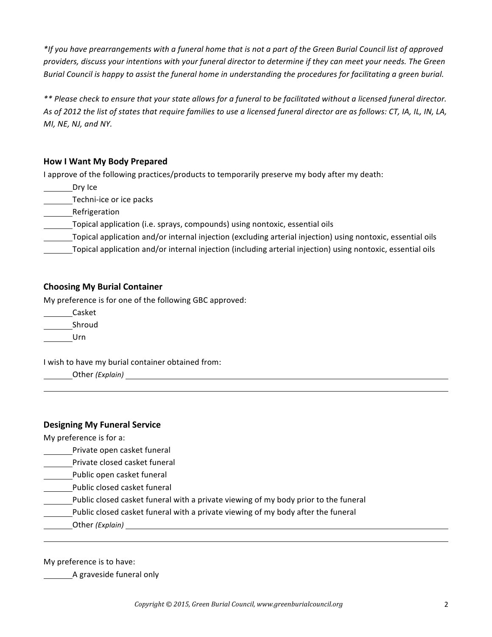\*If you have prearrangements with a funeral home that is not a part of the Green Burial Council list of approved providers, discuss your intentions with your funeral director to determine if they can meet your needs. The Green *Burial Council is happy to assist the funeral home in understanding the procedures for facilitating a green burial.* 

\*\* Please check to ensure that your state allows for a funeral to be facilitated without a licensed funeral director. As of 2012 the list of states that require families to use a licensed funeral director are as follows: CT, IA, IL, IN, LA, *MI, NE, NJ, and NY.* 

## **How I Want My Body Prepared**

I approve of the following practices/products to temporarily preserve my body after my death:

Dry Ice

Techni-ice or ice packs

Refrigeration

Topical application (i.e. sprays, compounds) using nontoxic, essential oils

Topical application and/or internal injection (excluding arterial injection) using nontoxic, essential oils

Topical application and/or internal injection (including arterial injection) using nontoxic, essential oils

### **Choosing My Burial Container**

My preference is for one of the following GBC approved:

Casket \_\_\_\_\_\_Shroud

Urn

I wish to have my burial container obtained from:

Other (Explain) **Accord Container and Container and Container and Container and Container and Container and Container and Container and Container and Container and Container and Container and Container and Container and Co** 

### **Designing My Funeral Service**

My preference is for a:

- Private open casket funeral
- Private closed casket funeral
- Public open casket funeral
- Public closed casket funeral
- Public closed casket funeral with a private viewing of my body prior to the funeral
- Public closed casket funeral with a private viewing of my body after the funeral
- Other (Explain) and the contract of the contract of the contract of the contract of the contract of the contract of the contract of the contract of the contract of the contract of the contract of the contract of the contra

My preference is to have:

A graveside funeral only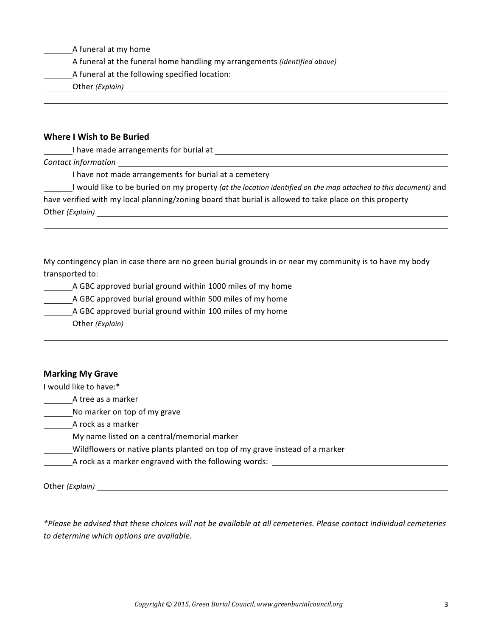| A funeral at my home |  |  |  |
|----------------------|--|--|--|
|----------------------|--|--|--|

- A funeral at the funeral home handling my arrangements *(identified above)*
- A funeral at the following specified location:
- Other *(Explain)*

### **Where I Wish to Be Buried**

I have made arrangements for burial at \_\_

*Contact information*

I have not made arrangements for burial at a cemetery

I would like to be buried on my property *(at the location identified on the map attached to this document)* and have verified with my local planning/zoning board that burial is allowed to take place on this property Other (*Explain*)

My contingency plan in case there are no green burial grounds in or near my community is to have my body transported to:

A GBC approved burial ground within 1000 miles of my home

**A** GBC approved burial ground within 500 miles of my home

16 GBC approved burial ground within 100 miles of my home

Other *(Explain)*

### **Marking My Grave**

I would like to have:\*

A tree as a marker

No marker on top of my grave

A rock as a marker

My name listed on a central/memorial marker

Wildflowers or native plants planted on top of my grave instead of a marker

\_A rock as a marker engraved with the following words: \_\_\_\_\_\_\_\_\_\_\_\_\_\_\_\_\_\_\_\_\_\_\_\_\_

Other *(Explain)* 

*\*Please be advised that these choices will not be available at all cemeteries. Please contact individual cemeteries to determine which options are available.*